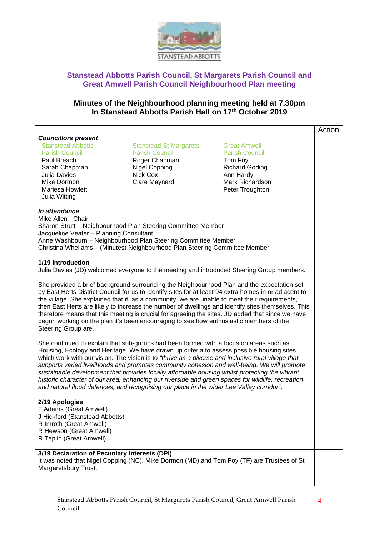

#### **Minutes of the Neighbourhood planning meeting held at 7.30pm In Stanstead Abbotts Parish Hall on 17th October 2019**

|                                                                                                                                                                                                                                                                                                                                                                                                                                                                                                                                                                                                                                                                                             |                                                                                                                              |                                                                                                                                     | Action |  |
|---------------------------------------------------------------------------------------------------------------------------------------------------------------------------------------------------------------------------------------------------------------------------------------------------------------------------------------------------------------------------------------------------------------------------------------------------------------------------------------------------------------------------------------------------------------------------------------------------------------------------------------------------------------------------------------------|------------------------------------------------------------------------------------------------------------------------------|-------------------------------------------------------------------------------------------------------------------------------------|--------|--|
| <b>Councillors present</b><br><b>Stanstead Abbotts</b><br><b>Parish Council</b><br>Paul Breach<br>Sarah Chapman<br>Julia Davies<br>Mike Dormon<br><b>Mariesa Howlett</b><br>Julia Witting                                                                                                                                                                                                                                                                                                                                                                                                                                                                                                   | <b>Stanstead St Margarets</b><br><b>Parish Council</b><br>Roger Chapman<br><b>Nigel Copping</b><br>Nick Cox<br>Clare Maynard | <b>Great Amwell</b><br><b>Parish Council</b><br>Tom Foy<br><b>Richard Goding</b><br>Ann Hardy<br>Mark Richardson<br>Peter Troughton |        |  |
| In attendance<br>Mike Allen - Chair<br>Sharon Strutt - Neighbourhood Plan Steering Committee Member<br>Jacqueline Veater - Planning Consultant<br>Anne Washbourn - Neighbourhood Plan Steering Committee Member<br>Christina Whellams - (Minutes) Neighbourhood Plan Steering Committee Member                                                                                                                                                                                                                                                                                                                                                                                              |                                                                                                                              |                                                                                                                                     |        |  |
| 1/19 Introduction<br>Julia Davies (JD) welcomed everyone to the meeting and introduced Steering Group members.                                                                                                                                                                                                                                                                                                                                                                                                                                                                                                                                                                              |                                                                                                                              |                                                                                                                                     |        |  |
| She provided a brief background surrounding the Neighbourhood Plan and the expectation set<br>by East Herts District Council for us to identify sites for at least 94 extra homes in or adjacent to<br>the village. She explained that if, as a community, we are unable to meet their requirements,<br>then East Herts are likely to increase the number of dwellings and identify sites themselves. This<br>therefore means that this meeting is crucial for agreeing the sites. JD added that since we have<br>begun working on the plan it's been encouraging to see how enthusiastic members of the<br>Steering Group are.                                                             |                                                                                                                              |                                                                                                                                     |        |  |
| She continued to explain that sub-groups had been formed with a focus on areas such as<br>Housing, Ecology and Heritage. We have drawn up criteria to assess possible housing sites<br>which work with our vision. The vision is to "thrive as a diverse and inclusive rural village that<br>supports varied livelihoods and promotes community cohesion and well-being. We will promote<br>sustainable development that provides locally affordable housing whilst protecting the vibrant<br>historic character of our area, enhancing our riverside and green spaces for wildlife, recreation<br>and natural flood defences, and recognising our place in the wider Lee Valley corridor". |                                                                                                                              |                                                                                                                                     |        |  |
| 2/19 Apologies<br>F Adams (Great Amwell)<br>J Hickford (Stanstead Abbotts)<br>R Imroth (Great Amwell)<br>R Hewson (Great Amwell)<br>R Taplin (Great Amwell)                                                                                                                                                                                                                                                                                                                                                                                                                                                                                                                                 |                                                                                                                              |                                                                                                                                     |        |  |
| 3/19 Declaration of Pecuniary interests (DPI)<br>It was noted that Nigel Copping (NC), Mike Dormon (MD) and Tom Foy (TF) are Trustees of St<br>Margaretsbury Trust.                                                                                                                                                                                                                                                                                                                                                                                                                                                                                                                         |                                                                                                                              |                                                                                                                                     |        |  |

4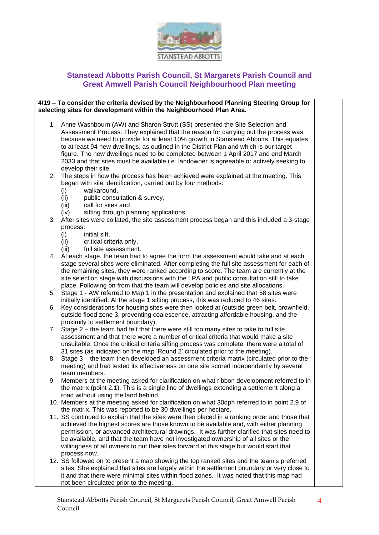

#### **4/19 – To consider the criteria devised by the Neighbourhood Planning Steering Group for selecting sites for development within the Neighbourhood Plan Area.**

- 1. Anne Washbourn (AW) and Sharon Strutt (SS) presented the Site Selection and Assessment Process. They explained that the reason for carrying out the process was because we need to provide for at least 10% growth in Stanstead Abbotts. This equates to at least 94 new dwellings, as outlined in the District Plan and which is our target figure. The new dwellings need to be completed between 1 April 2017 and end March 2033 and that sites must be available i.e. landowner is agreeable or actively seeking to develop their site.
- 2. The steps in how the process has been achieved were explained at the meeting. This began with site identification, carried out by four methods:
	- (i) walkaround,
	- (ii) public consultation & survey,
	- (iii) call for sites and
	- (iv) sifting through planning applications.
- 3. After sites were collated, the site assessment process began and this included a 3-stage process:
	- (i) initial sift,
	- (ii) critical criteria only,
	- (iii) full site assessment.
- 4. At each stage, the team had to agree the form the assessment would take and at each stage several sites were eliminated. After completing the full site assessment for each of the remaining sites, they were ranked according to score. The team are currently at the site selection stage with discussions with the LPA and public consultation still to take place. Following on from that the team will develop policies and site allocations.
- 5. Stage 1 AW referred to Map 1 in the presentation and explained that 58 sites were initially identified. At the stage 1 sifting process, this was reduced to 46 sites.
- 6. Key considerations for housing sites were then looked at (outside green belt, brownfield, outside flood zone 3, preventing coalescence, attracting affordable housing, and the proximity to settlement boundary).
- 7. Stage 2 the team had felt that there were still too many sites to take to full site assessment and that there were a number of critical criteria that would make a site unsuitable. Once the critical criteria sifting process was complete, there were a total of 31 sites (as indicated on the map 'Round 2' circulated prior to the meeting).
- 8. Stage 3 the team then developed an assessment criteria matrix (circulated prior to the meeting) and had tested its effectiveness on one site scored independently by several team members.
- 9. Members at the meeting asked for clarification on what ribbon development referred to in the matrix (point 2.1). This is a single line of dwellings extending a settlement along a road without using the land behind.
- 10. Members at the meeting asked for clarification on what 30dph referred to in point 2.9 of the matrix. This was reported to be 30 dwellings per hectare.
- 11. SS continued to explain that the sites were then placed in a ranking order and those that achieved the highest scores are those known to be available and, with either planning permission, or advanced architectural drawings. It was further clarified that sites need to be available, and that the team have not investigated ownership of all sites or the willingness of all owners to put their sites forward at this stage but would start that process now.
- 12. SS followed on to present a map showing the top ranked sites and the team's preferred sites. She explained that sites are largely within the settlement boundary or very close to it and that there were minimal sites within flood zones. It was noted that this map had not been circulated prior to the meeting.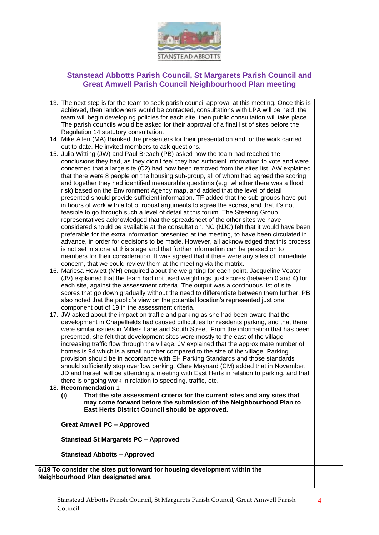

- 13. The next step is for the team to seek parish council approval at this meeting. Once this is achieved, then landowners would be contacted, consultations with LPA will be held, the team will begin developing policies for each site, then public consultation will take place. The parish councils would be asked for their approval of a final list of sites before the Regulation 14 statutory consultation.
- 14. Mike Allen (MA) thanked the presenters for their presentation and for the work carried out to date. He invited members to ask questions.
- 15. Julia Witting (JW) and Paul Breach (PB) asked how the team had reached the conclusions they had, as they didn't feel they had sufficient information to vote and were concerned that a large site (C2) had now been removed from the sites list. AW explained that there were 8 people on the housing sub-group, all of whom had agreed the scoring and together they had identified measurable questions (e.g. whether there was a flood risk) based on the Environment Agency map, and added that the level of detail presented should provide sufficient information. TF added that the sub-groups have put in hours of work with a lot of robust arguments to agree the scores, and that it's not feasible to go through such a level of detail at this forum. The Steering Group representatives acknowledged that the spreadsheet of the other sites we have considered should be available at the consultation. NC (NJC) felt that it would have been preferable for the extra information presented at the meeting, to have been circulated in advance, in order for decisions to be made. However, all acknowledged that this process is not set in stone at this stage and that further information can be passed on to members for their consideration. It was agreed that if there were any sites of immediate concern, that we could review them at the meeting via the matrix.
- 16. Mariesa Howlett (MH) enquired about the weighting for each point. Jacqueline Veater (JV) explained that the team had not used weightings, just scores (between 0 and 4) for each site, against the assessment criteria. The output was a continuous list of site scores that go down gradually without the need to differentiate between them further. PB also noted that the public's view on the potential location's represented just one component out of 19 in the assessment criteria.
- 17. JW asked about the impact on traffic and parking as she had been aware that the development in Chapelfields had caused difficulties for residents parking, and that there were similar issues in Millers Lane and South Street. From the information that has been presented, she felt that development sites were mostly to the east of the village increasing traffic flow through the village. JV explained that the approximate number of homes is 94 which is a small number compared to the size of the village. Parking provision should be in accordance with EH Parking Standards and those standards should sufficiently stop overflow parking. Clare Maynard (CM) added that in November, JD and herself will be attending a meeting with East Herts in relation to parking, and that there is ongoing work in relation to speeding, traffic, etc.

#### 18. **Recommendation** 1 -

**(i) That the site assessment criteria for the current sites and any sites that may come forward before the submission of the Neighbourhood Plan to East Herts District Council should be approved.**

**Great Amwell PC – Approved**

**Stanstead St Margarets PC – Approved** 

**Stanstead Abbotts – Approved** 

**5/19 To consider the sites put forward for housing development within the Neighbourhood Plan designated area**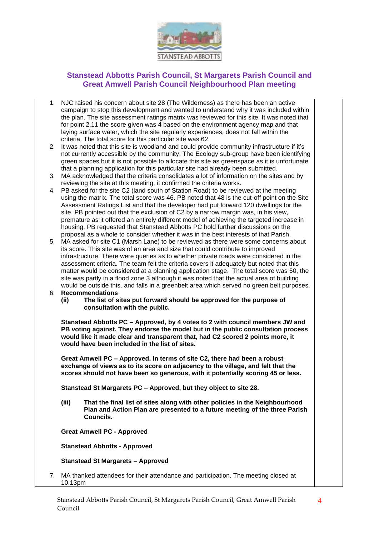

- 1. NJC raised his concern about site 28 (The Wilderness) as there has been an active campaign to stop this development and wanted to understand why it was included within the plan. The site assessment ratings matrix was reviewed for this site. It was noted that for point 2.11 the score given was 4 based on the environment agency map and that laying surface water, which the site regularly experiences, does not fall within the criteria. The total score for this particular site was 62.
- 2. It was noted that this site is woodland and could provide community infrastructure if it's not currently accessible by the community. The Ecology sub-group have been identifying green spaces but it is not possible to allocate this site as greenspace as it is unfortunate that a planning application for this particular site had already been submitted.
- 3. MA acknowledged that the criteria consolidates a lot of information on the sites and by reviewing the site at this meeting, it confirmed the criteria works.
- 4. PB asked for the site C2 (land south of Station Road) to be reviewed at the meeting using the matrix. The total score was 46. PB noted that 48 is the cut-off point on the Site Assessment Ratings List and that the developer had put forward 120 dwellings for the site. PB pointed out that the exclusion of C2 by a narrow margin was, in his view, premature as it offered an entirely different model of achieving the targeted increase in housing. PB requested that Stanstead Abbotts PC hold further discussions on the proposal as a whole to consider whether it was in the best interests of that Parish.
- 5. MA asked for site C1 (Marsh Lane) to be reviewed as there were some concerns about its score. This site was of an area and size that could contribute to improved infrastructure. There were queries as to whether private roads were considered in the assessment criteria. The team felt the criteria covers it adequately but noted that this matter would be considered at a planning application stage. The total score was 50, the site was partly in a flood zone 3 although it was noted that the actual area of building would be outside this. and falls in a greenbelt area which served no green belt purposes.
- 6. **Recommendations**
	- **(ii) The list of sites put forward should be approved for the purpose of consultation with the public.**

**Stanstead Abbotts PC – Approved, by 4 votes to 2 with council members JW and PB voting against. They endorse the model but in the public consultation process would like it made clear and transparent that, had C2 scored 2 points more, it would have been included in the list of sites.** 

**Great Amwell PC – Approved. In terms of site C2, there had been a robust exchange of views as to its score on adjacency to the village, and felt that the scores should not have been so generous, with it potentially scoring 45 or less.**

**Stanstead St Margarets PC – Approved, but they object to site 28.**

**(iii) That the final list of sites along with other policies in the Neighbourhood Plan and Action Plan are presented to a future meeting of the three Parish Councils.** 

**Great Amwell PC - Approved**

**Stanstead Abbotts - Approved**

**Stanstead St Margarets – Approved**

7. MA thanked attendees for their attendance and participation. The meeting closed at 10.13pm